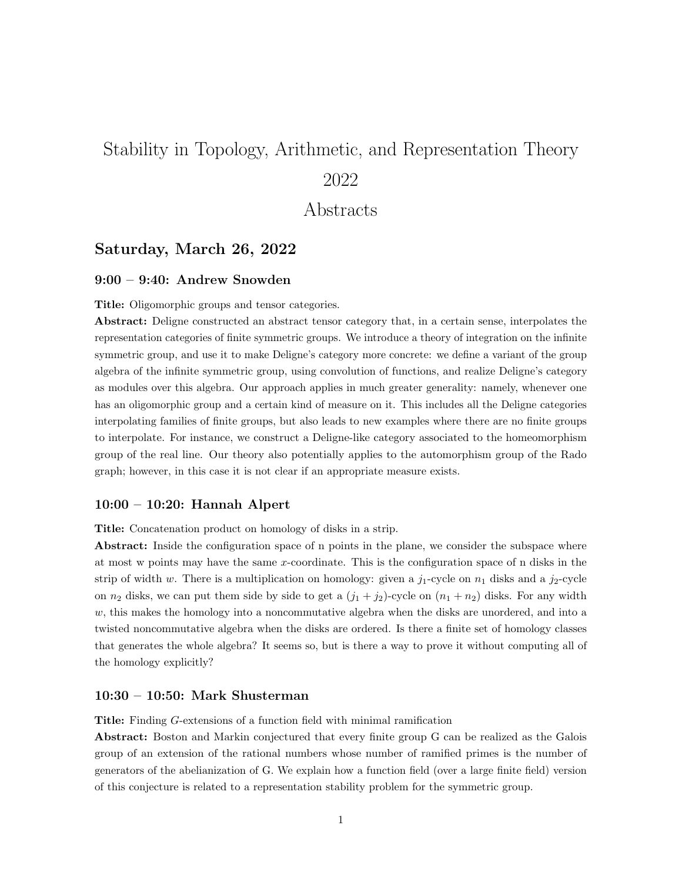# Stability in Topology, Arithmetic, and Representation Theory 2022

# Abstracts

# Saturday, March 26, 2022

# 9:00 – 9:40: Andrew Snowden

Title: Oligomorphic groups and tensor categories.

Abstract: Deligne constructed an abstract tensor category that, in a certain sense, interpolates the representation categories of finite symmetric groups. We introduce a theory of integration on the infinite symmetric group, and use it to make Deligne's category more concrete: we define a variant of the group algebra of the infinite symmetric group, using convolution of functions, and realize Deligne's category as modules over this algebra. Our approach applies in much greater generality: namely, whenever one has an oligomorphic group and a certain kind of measure on it. This includes all the Deligne categories interpolating families of finite groups, but also leads to new examples where there are no finite groups to interpolate. For instance, we construct a Deligne-like category associated to the homeomorphism group of the real line. Our theory also potentially applies to the automorphism group of the Rado graph; however, in this case it is not clear if an appropriate measure exists.

#### 10:00 – 10:20: Hannah Alpert

Title: Concatenation product on homology of disks in a strip.

Abstract: Inside the configuration space of n points in the plane, we consider the subspace where at most w points may have the same  $x$ -coordinate. This is the configuration space of n disks in the strip of width w. There is a multiplication on homology: given a  $j_1$ -cycle on  $n_1$  disks and a  $j_2$ -cycle on  $n_2$  disks, we can put them side by side to get a  $(j_1 + j_2)$ -cycle on  $(n_1 + n_2)$  disks. For any width  $w$ , this makes the homology into a noncommutative algebra when the disks are unordered, and into a twisted noncommutative algebra when the disks are ordered. Is there a finite set of homology classes that generates the whole algebra? It seems so, but is there a way to prove it without computing all of the homology explicitly?

## 10:30 – 10:50: Mark Shusterman

Title: Finding G-extensions of a function field with minimal ramification

Abstract: Boston and Markin conjectured that every finite group G can be realized as the Galois group of an extension of the rational numbers whose number of ramified primes is the number of generators of the abelianization of G. We explain how a function field (over a large finite field) version of this conjecture is related to a representation stability problem for the symmetric group.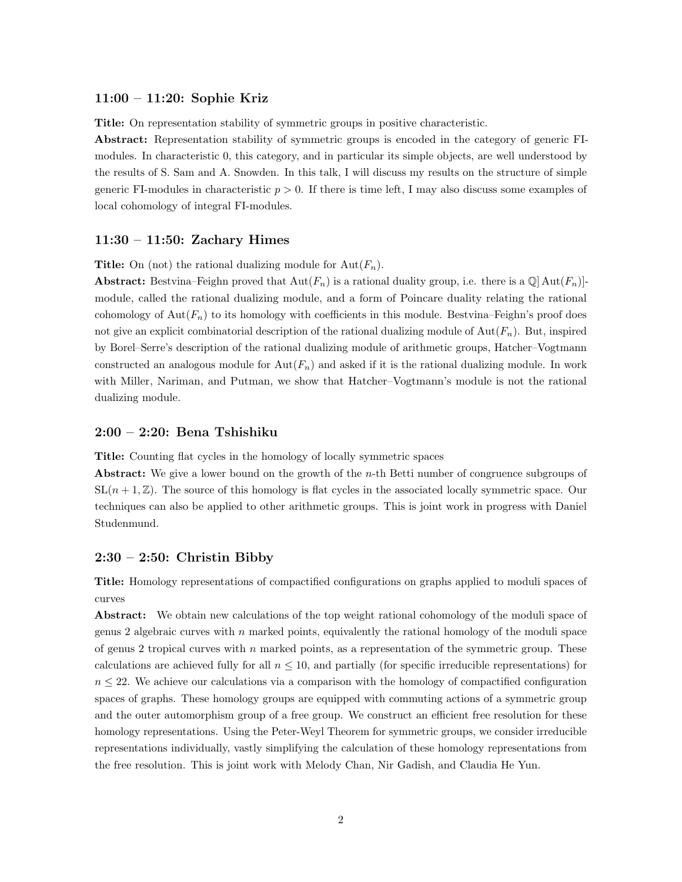#### 11:00 – 11:20: Sophie Kriz

Title: On representation stability of symmetric groups in positive characteristic.

Abstract: Representation stability of symmetric groups is encoded in the category of generic FImodules. In characteristic 0, this category, and in particular its simple objects, are well understood by the results of S. Sam and A. Snowden. In this talk, I will discuss my results on the structure of simple generic FI-modules in characteristic  $p > 0$ . If there is time left, I may also discuss some examples of local cohomology of integral FI-modules.

#### 11:30 – 11:50: Zachary Himes

**Title:** On (not) the rational dualizing module for  $Aut(F_n)$ .

**Abstract:** Bestvina–Feighn proved that  $Aut(F_n)$  is a rational duality group, i.e. there is a  $\mathbb{Q}[Aut(F_n)]$ module, called the rational dualizing module, and a form of Poincare duality relating the rational cohomology of  $Aut(F_n)$  to its homology with coefficients in this module. Bestvina–Feighn's proof does not give an explicit combinatorial description of the rational dualizing module of  $Aut(F_n)$ . But, inspired by Borel–Serre's description of the rational dualizing module of arithmetic groups, Hatcher–Vogtmann constructed an analogous module for  $Aut(F_n)$  and asked if it is the rational dualizing module. In work with Miller, Nariman, and Putman, we show that Hatcher–Vogtmann's module is not the rational dualizing module.

### 2:00 – 2:20: Bena Tshishiku

Title: Counting flat cycles in the homology of locally symmetric spaces

Abstract: We give a lower bound on the growth of the n-th Betti number of congruence subgroups of  $SL(n + 1, \mathbb{Z})$ . The source of this homology is flat cycles in the associated locally symmetric space. Our techniques can also be applied to other arithmetic groups. This is joint work in progress with Daniel Studenmund.

#### $2:30 - 2:50$ : Christin Bibby

Title: Homology representations of compactified configurations on graphs applied to moduli spaces of curves

Abstract: We obtain new calculations of the top weight rational cohomology of the moduli space of genus 2 algebraic curves with  $n$  marked points, equivalently the rational homology of the moduli space of genus 2 tropical curves with  $n$  marked points, as a representation of the symmetric group. These calculations are achieved fully for all  $n \leq 10$ , and partially (for specific irreducible representations) for  $n \leq 22$ . We achieve our calculations via a comparison with the homology of compactified configuration spaces of graphs. These homology groups are equipped with commuting actions of a symmetric group and the outer automorphism group of a free group. We construct an efficient free resolution for these homology representations. Using the Peter-Weyl Theorem for symmetric groups, we consider irreducible representations individually, vastly simplifying the calculation of these homology representations from the free resolution. This is joint work with Melody Chan, Nir Gadish, and Claudia He Yun.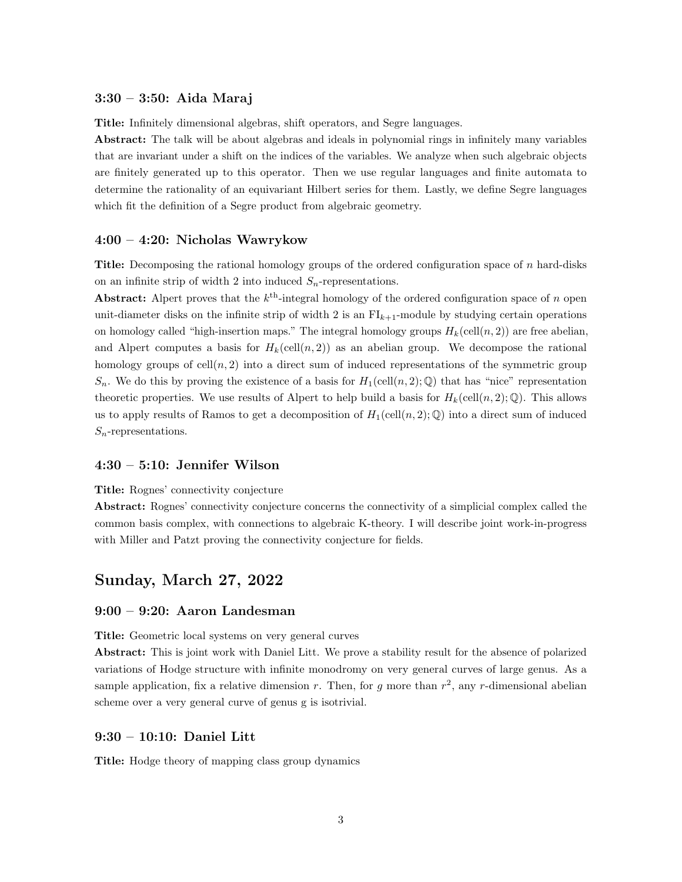# 3:30 – 3:50: Aida Maraj

Title: Infinitely dimensional algebras, shift operators, and Segre languages.

Abstract: The talk will be about algebras and ideals in polynomial rings in infinitely many variables that are invariant under a shift on the indices of the variables. We analyze when such algebraic objects are finitely generated up to this operator. Then we use regular languages and finite automata to determine the rationality of an equivariant Hilbert series for them. Lastly, we define Segre languages which fit the definition of a Segre product from algebraic geometry.

#### 4:00 – 4:20: Nicholas Wawrykow

Title: Decomposing the rational homology groups of the ordered configuration space of n hard-disks on an infinite strip of width 2 into induced  $S_n$ -representations.

Abstract: Alpert proves that the  $k^{\text{th}}$ -integral homology of the ordered configuration space of n open unit-diameter disks on the infinite strip of width 2 is an  $FI_{k+1}$ -module by studying certain operations on homology called "high-insertion maps." The integral homology groups  $H_k(\text{cell}(n, 2))$  are free abelian, and Alpert computes a basis for  $H_k(\text{cell}(n, 2))$  as an abelian group. We decompose the rational homology groups of  $\text{cell}(n, 2)$  into a direct sum of induced representations of the symmetric group  $S_n$ . We do this by proving the existence of a basis for  $H_1(\text{cell}(n, 2); \mathbb{Q})$  that has "nice" representation theoretic properties. We use results of Alpert to help build a basis for  $H_k(\text{cell}(n, 2); \mathbb{Q})$ . This allows us to apply results of Ramos to get a decomposition of  $H_1(\text{cell}(n, 2); \mathbb{Q})$  into a direct sum of induced  $S_n$ -representations.

# 4:30 – 5:10: Jennifer Wilson

#### Title: Rognes' connectivity conjecture

Abstract: Rognes' connectivity conjecture concerns the connectivity of a simplicial complex called the common basis complex, with connections to algebraic K-theory. I will describe joint work-in-progress with Miller and Patzt proving the connectivity conjecture for fields.

# Sunday, March 27, 2022

#### 9:00 – 9:20: Aaron Landesman

Title: Geometric local systems on very general curves

Abstract: This is joint work with Daniel Litt. We prove a stability result for the absence of polarized variations of Hodge structure with infinite monodromy on very general curves of large genus. As a sample application, fix a relative dimension r. Then, for g more than  $r^2$ , any r-dimensional abelian scheme over a very general curve of genus g is isotrivial.

#### 9:30 – 10:10: Daniel Litt

Title: Hodge theory of mapping class group dynamics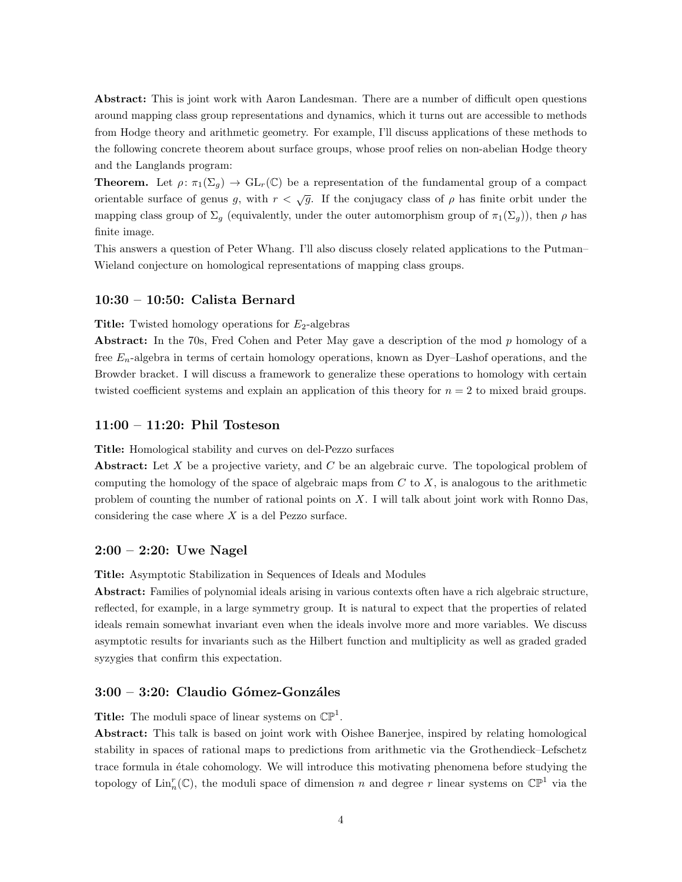Abstract: This is joint work with Aaron Landesman. There are a number of difficult open questions around mapping class group representations and dynamics, which it turns out are accessible to methods from Hodge theory and arithmetic geometry. For example, I'll discuss applications of these methods to the following concrete theorem about surface groups, whose proof relies on non-abelian Hodge theory and the Langlands program:

**Theorem.** Let  $\rho: \pi_1(\Sigma_g) \to GL_r(\mathbb{C})$  be a representation of the fundamental group of a compact orientable surface of genus g, with  $r < \sqrt{g}$ . If the conjugacy class of  $\rho$  has finite orbit under the mapping class group of  $\Sigma_q$  (equivalently, under the outer automorphism group of  $\pi_1(\Sigma_q)$ ), then  $\rho$  has finite image.

This answers a question of Peter Whang. I'll also discuss closely related applications to the Putman– Wieland conjecture on homological representations of mapping class groups.

#### 10:30 – 10:50: Calista Bernard

**Title:** Twisted homology operations for  $E_2$ -algebras

Abstract: In the 70s, Fred Cohen and Peter May gave a description of the mod p homology of a free  $E_n$ -algebra in terms of certain homology operations, known as Dyer–Lashof operations, and the Browder bracket. I will discuss a framework to generalize these operations to homology with certain twisted coefficient systems and explain an application of this theory for  $n = 2$  to mixed braid groups.

### 11:00 – 11:20: Phil Tosteson

Title: Homological stability and curves on del-Pezzo surfaces

Abstract: Let  $X$  be a projective variety, and  $C$  be an algebraic curve. The topological problem of computing the homology of the space of algebraic maps from  $C$  to  $X$ , is analogous to the arithmetic problem of counting the number of rational points on  $X$ . I will talk about joint work with Ronno Das, considering the case where  $X$  is a del Pezzo surface.

# 2:00 – 2:20: Uwe Nagel

Title: Asymptotic Stabilization in Sequences of Ideals and Modules

Abstract: Families of polynomial ideals arising in various contexts often have a rich algebraic structure, reflected, for example, in a large symmetry group. It is natural to expect that the properties of related ideals remain somewhat invariant even when the ideals involve more and more variables. We discuss asymptotic results for invariants such as the Hilbert function and multiplicity as well as graded graded syzygies that confirm this expectation.

# $3:00 - 3:20$ : Claudio Gómez-Gonzáles

**Title:** The moduli space of linear systems on  $\mathbb{CP}^1$ .

Abstract: This talk is based on joint work with Oishee Banerjee, inspired by relating homological stability in spaces of rational maps to predictions from arithmetic via the Grothendieck–Lefschetz trace formula in étale cohomology. We will introduce this motivating phenomena before studying the topology of  $\text{Lin}_n^r(\mathbb{C})$ , the moduli space of dimension n and degree r linear systems on  $\mathbb{CP}^1$  via the